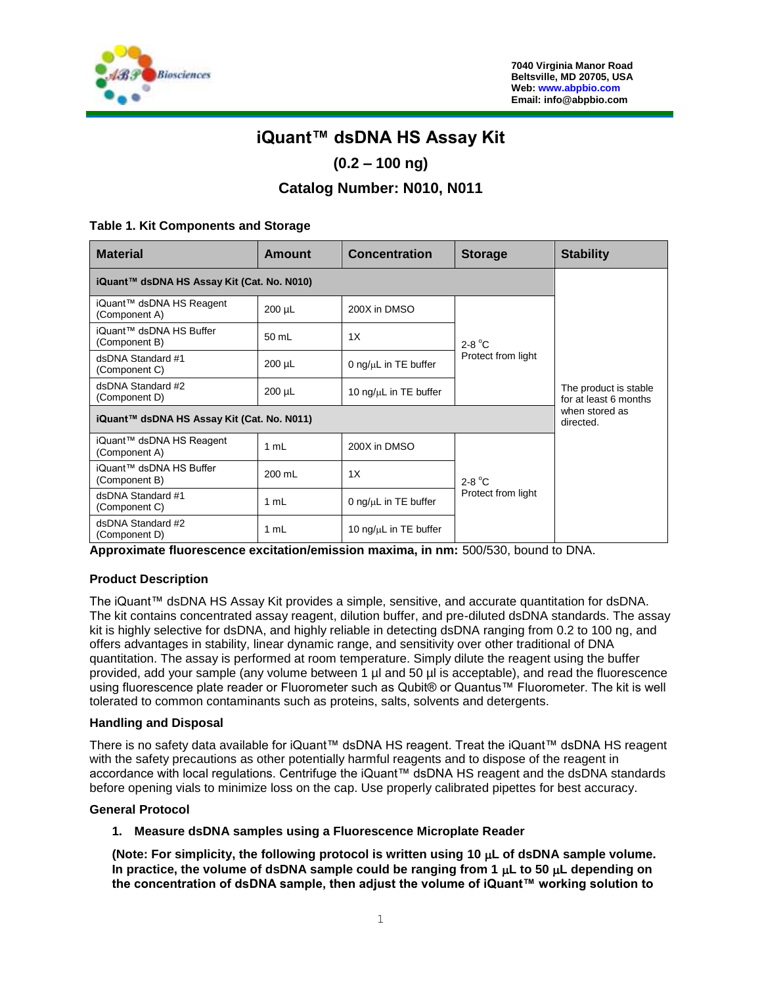

# **iQuant™ dsDNA HS Assay Kit**

# **(0.2 – 100 ng)**

# **Catalog Number: N010, N011**

#### **Table 1. Kit Components and Storage**

| <b>Material</b>                            | <b>Amount</b> | <b>Concentration</b>        | <b>Storage</b>     | <b>Stability</b>                               |
|--------------------------------------------|---------------|-----------------------------|--------------------|------------------------------------------------|
| iQuant™ dsDNA HS Assay Kit (Cat. No. N010) |               |                             |                    |                                                |
| iQuant™ dsDNA HS Reagent<br>(Component A)  | $200 \mu L$   | 200X in DMSO                |                    | The product is stable<br>for at least 6 months |
| iQuant™ dsDNA HS Buffer<br>(Component B)   | 50 mL         | 1X                          | $2-8$ °C           |                                                |
| dsDNA Standard #1<br>(Component C)         | $200 \mu L$   | 0 ng/ $\mu$ L in TE buffer  | Protect from light |                                                |
| dsDNA Standard #2<br>(Component D)         | $200 \mu L$   | 10 ng/ $\mu$ L in TE buffer |                    |                                                |
| iQuant™ dsDNA HS Assay Kit (Cat. No. N011) |               |                             |                    | when stored as<br>directed.                    |
| iQuant™ dsDNA HS Reagent<br>(Component A)  | 1 mL          | 200X in DMSO                |                    |                                                |
| iQuant™ dsDNA HS Buffer<br>(Component B)   | 200 mL        | 1X                          | $2-8$ °C           |                                                |
| dsDNA Standard #1<br>(Component C)         | 1 mL          | 0 ng/ $\mu$ L in TE buffer  | Protect from light |                                                |
| dsDNA Standard #2<br>(Component D)         | 1 mL          | 10 ng/ $\mu$ L in TE buffer |                    |                                                |

**Approximate fluorescence excitation/emission maxima, in nm:** 500/530, bound to DNA.

## **Product Description**

The iQuant™ dsDNA HS Assay Kit provides a simple, sensitive, and accurate quantitation for dsDNA. The kit contains concentrated assay reagent, dilution buffer, and pre-diluted dsDNA standards. The assay kit is highly selective for dsDNA, and highly reliable in detecting dsDNA ranging from 0.2 to 100 ng, and offers advantages in stability, linear dynamic range, and sensitivity over other traditional of DNA quantitation. The assay is performed at room temperature. Simply dilute the reagent using the buffer provided, add your sample (any volume between 1 µl and 50 µl is acceptable), and read the fluorescence using fluorescence plate reader or Fluorometer such as Qubit® or Quantus™ Fluorometer. The kit is well tolerated to common contaminants such as proteins, salts, solvents and detergents.

#### **Handling and Disposal**

There is no safety data available for iQuant™ dsDNA HS reagent. Treat the iQuant™ dsDNA HS reagent with the safety precautions as other potentially harmful reagents and to dispose of the reagent in accordance with local regulations. Centrifuge the iQuant™ dsDNA HS reagent and the dsDNA standards before opening vials to minimize loss on the cap. Use properly calibrated pipettes for best accuracy.

#### **General Protocol**

#### **1. Measure dsDNA samples using a Fluorescence Microplate Reader**

**(Note: For simplicity, the following protocol is written using 10 L of dsDNA sample volume.**  In practice, the volume of dsDNA sample could be ranging from 1  $\mu$ L to 50  $\mu$ L depending on **the concentration of dsDNA sample, then adjust the volume of iQuant™ working solution to**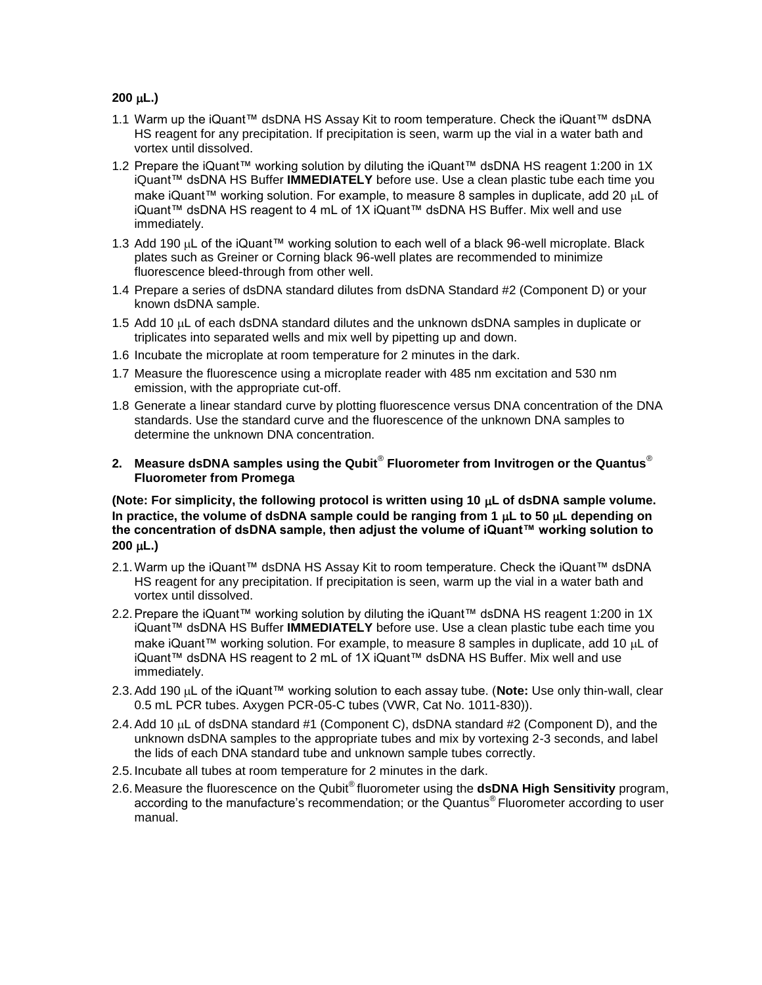## **200 L.)**

- 1.1 Warm up the iQuant™ dsDNA HS Assay Kit to room temperature. Check the iQuant™ dsDNA HS reagent for any precipitation. If precipitation is seen, warm up the vial in a water bath and vortex until dissolved.
- 1.2 Prepare the iQuant™ working solution by diluting the iQuant™ dsDNA HS reagent 1:200 in 1X iQuant™ dsDNA HS Buffer **IMMEDIATELY** before use. Use a clean plastic tube each time you make iQuant™ working solution. For example, to measure 8 samples in duplicate, add 20 µL of iQuant™ dsDNA HS reagent to 4 mL of 1X iQuant™ dsDNA HS Buffer. Mix well and use immediately.
- 1.3 Add 190 µL of the iQuant™ working solution to each well of a black 96-well microplate. Black plates such as Greiner or Corning black 96-well plates are recommended to minimize fluorescence bleed-through from other well.
- 1.4 Prepare a series of dsDNA standard dilutes from dsDNA Standard #2 (Component D) or your known dsDNA sample.
- 1.5 Add 10  $\mu$ L of each dsDNA standard dilutes and the unknown dsDNA samples in duplicate or triplicates into separated wells and mix well by pipetting up and down.
- 1.6 Incubate the microplate at room temperature for 2 minutes in the dark.
- 1.7 Measure the fluorescence using a microplate reader with 485 nm excitation and 530 nm emission, with the appropriate cut-off.
- 1.8 Generate a linear standard curve by plotting fluorescence versus DNA concentration of the DNA standards. Use the standard curve and the fluorescence of the unknown DNA samples to determine the unknown DNA concentration.
- **2. Measure dsDNA samples using the Qubit**® **Fluorometer from Invitrogen or the Quantus**® **Fluorometer from Promega**

**(Note: For simplicity, the following protocol is written using 10 L of dsDNA sample volume.**  In practice, the volume of dsDNA sample could be ranging from 1  $\mu$ L to 50  $\mu$ L depending on **the concentration of dsDNA sample, then adjust the volume of iQuant™ working solution to 200 L.)**

- 2.1.Warm up the iQuant™ dsDNA HS Assay Kit to room temperature. Check the iQuant™ dsDNA HS reagent for any precipitation. If precipitation is seen, warm up the vial in a water bath and vortex until dissolved.
- 2.2. Prepare the iQuant™ working solution by diluting the iQuant™ dsDNA HS reagent 1:200 in 1X iQuant™ dsDNA HS Buffer **IMMEDIATELY** before use. Use a clean plastic tube each time you make iQuant™ working solution. For example, to measure 8 samples in duplicate, add 10  $\mu$ L of iQuant™ dsDNA HS reagent to 2 mL of 1X iQuant™ dsDNA HS Buffer. Mix well and use immediately.
- 2.3. Add 190 µL of the iQuant™ working solution to each assay tube. (Note: Use only thin-wall, clear 0.5 mL PCR tubes. Axygen PCR-05-C tubes (VWR, Cat No. 1011-830)).
- 2.4. Add 10  $\mu$ L of dsDNA standard #1 (Component C), dsDNA standard #2 (Component D), and the unknown dsDNA samples to the appropriate tubes and mix by vortexing 2-3 seconds, and label the lids of each DNA standard tube and unknown sample tubes correctly.
- 2.5. Incubate all tubes at room temperature for 2 minutes in the dark.
- 2.6. Measure the fluorescence on the Qubit® fluorometer using the **dsDNA High Sensitivity** program, according to the manufacture's recommendation; or the Quantus<sup>®</sup> Fluorometer according to user manual.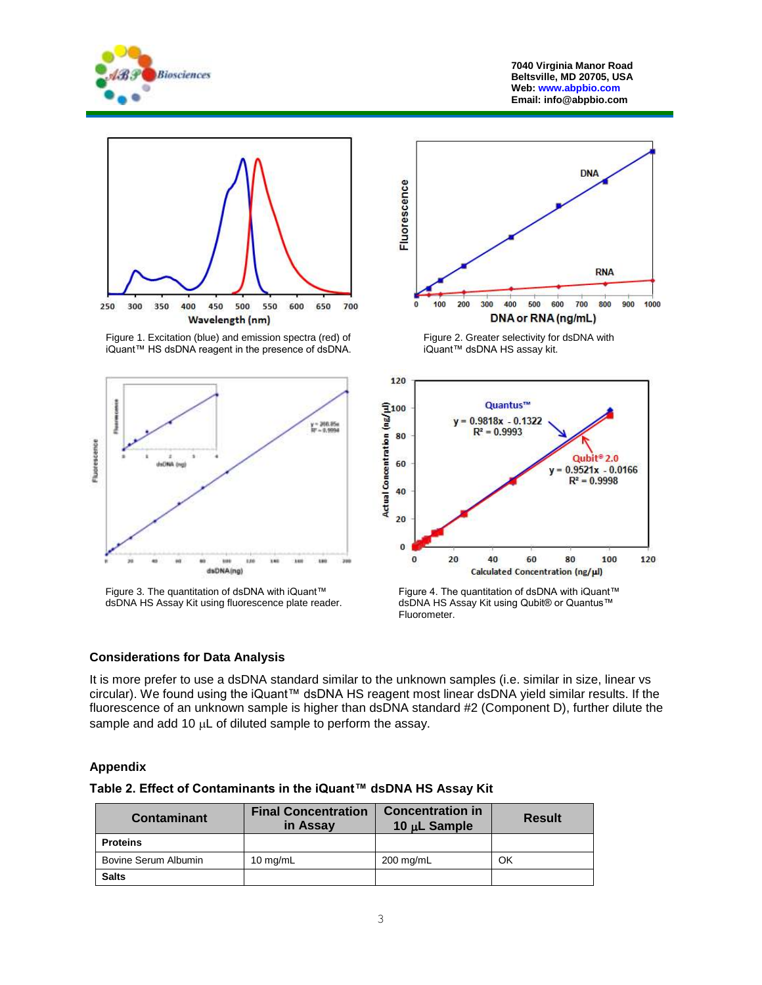

**7040 Virginia Manor Road Beltsville, MD 20705, USA Web[: www.abpbio.com](http://www.abpbio.com/) Email: info@abpbio.com**



Figure 1. Excitation (blue) and emission spectra (red) of iQuant™ HS dsDNA reagent in the presence of dsDNA.



Figure 3. The quantitation of dsDNA with iQuant™ dsDNA HS Assay Kit using fluorescence plate reader.



Figure 2. Greater selectivity for dsDNA with iQuant™ dsDNA HS assay kit.



Figure 4. The quantitation of dsDNA with iQuant™ dsDNA HS Assay Kit using Qubit® or Quantus™ Fluorometer.

#### **Considerations for Data Analysis**

It is more prefer to use a dsDNA standard similar to the unknown samples (i.e. similar in size, linear vs circular). We found using the iQuant™ dsDNA HS reagent most linear dsDNA yield similar results. If the fluorescence of an unknown sample is higher than dsDNA standard #2 (Component D), further dilute the sample and add 10  $\mu$ L of diluted sample to perform the assay.

### **Appendix**

|  |  | Table 2. Effect of Contaminants in the iQuant™ dsDNA HS Assay Kit |  |  |  |  |
|--|--|-------------------------------------------------------------------|--|--|--|--|
|--|--|-------------------------------------------------------------------|--|--|--|--|

| Contaminant          | <b>Final Concentration</b><br>in Assay | <b>Concentration in</b><br>10 $\mu$ L Sample | <b>Result</b> |
|----------------------|----------------------------------------|----------------------------------------------|---------------|
| <b>Proteins</b>      |                                        |                                              |               |
| Bovine Serum Albumin | $10 \text{ mg/mL}$                     | 200 mg/mL                                    | ОK            |
| <b>Salts</b>         |                                        |                                              |               |